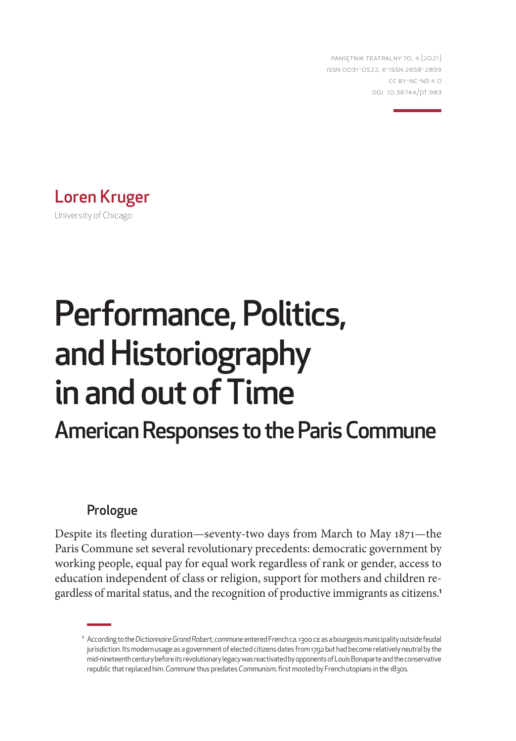PAMIĘTNIK TEATRALNY 70, 4 (2021) ISSN 0031-0522, e-ISSN 2658-2899 CC BY-NC-ND 4.0 DOI: 10.36744/pt.983



# Performance, Politics, and Historiography in and out of Time

## American Responses to the Paris Commune

### Prologue

Despite its fleeting duration—seventy-two days from March to May 1871—the Paris Commune set several revolutionary precedents: democratic government by working people, equal pay for equal work regardless of rank or gender, access to education independent of class or religion, support for mothers and children regardless of marital status, and the recognition of productive immigrants as citizens.**<sup>1</sup>**

<sup>1</sup> According to the *Dictionnaire Grand Robert*, *commune* entered French ca. 1300 CE as a bourgeois municipality outside feudal jurisdiction. Its modern usage as a government of elected citizens dates from 1792 but had become relatively neutral by the mid-nineteenth century before its revolutionary legacy was reactivated by opponents of Louis Bonaparte and the conservative republic that replaced him. *Commune* thus predates *Communism*, first mooted by French utopians in the 1830s.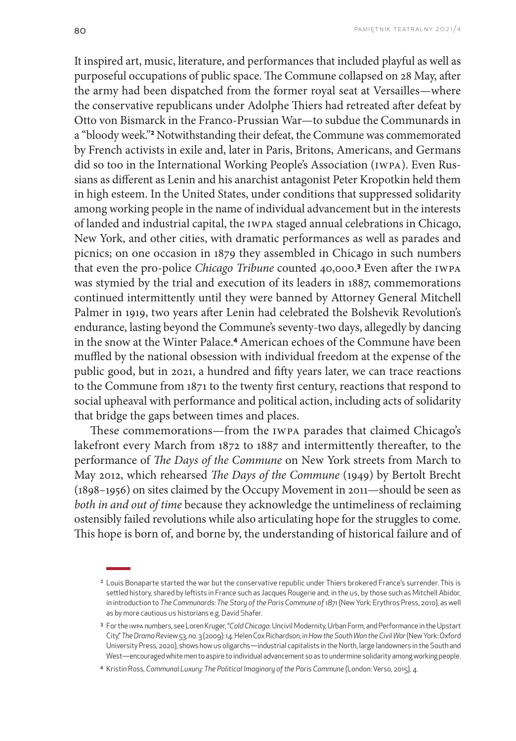It inspired art, music, literature, and performances that included playful as well as purposeful occupations of public space. The Commune collapsed on 28 May, after the army had been dispatched from the former royal seat at Versailles—where the conservative republicans under Adolphe Thiers had retreated after defeat by Otto von Bismarck in the Franco-Prussian War—to subdue the Communards in a "bloody week."**<sup>2</sup>** Notwithstanding their defeat, the Commune was commemorated by French activists in exile and, later in Paris, Britons, Americans, and Germans did so too in the International Working People's Association (IWPA). Even Russians as different as Lenin and his anarchist antagonist Peter Kropotkin held them in high esteem. In the United States, under conditions that suppressed solidarity among working people in the name of individual advancement but in the interests of landed and industrial capital, the IWPA staged annual celebrations in Chicago, New York, and other cities, with dramatic performances as well as parades and picnics; on one occasion in 1879 they assembled in Chicago in such numbers that even the pro-police *Chicago Tribune* counted 40,000.**<sup>3</sup>** Even after the IWPA was stymied by the trial and execution of its leaders in 1887, commemorations continued intermittently until they were banned by Attorney General Mitchell Palmer in 1919, two years after Lenin had celebrated the Bolshevik Revolution's endurance, lasting beyond the Commune's seventy-two days, allegedly by dancing in the snow at the Winter Palace.**4** American echoes of the Commune have been muffled by the national obsession with individual freedom at the expense of the public good, but in 2021, a hundred and fifty years later, we can trace reactions to the Commune from 1871 to the twenty first century, reactions that respond to social upheaval with performance and political action, including acts of solidarity that bridge the gaps between times and places.

These commemorations—from the IWPA parades that claimed Chicago's lakefront every March from 1872 to 1887 and intermittently thereafter, to the performance of *The Days of the Commune* on New York streets from March to May 2012, which rehearsed *The Days of the Commune* (1949) by Bertolt Brecht (1898–1956) on sites claimed by the Occupy Movement in 2011—should be seen as *both in and out of time* because they acknowledge the untimeliness of reclaiming ostensibly failed revolutions while also articulating hope for the struggles to come. This hope is born of, and borne by, the understanding of historical failure and of

<sup>&</sup>lt;sup>2</sup> Louis Bonaparte started the war but the conservative republic under Thiers brokered France's surrender. This is settled history, shared by leftists in France such as Jacques Rougerie and, in the US, by those such as Mitchell Abidor, in introduction to *The Communards: The Story of the Paris Commune of 1871* (New York: Erythros Press, 2010), as well as by more cautious us historians e.g. David Shafer.

<sup>3</sup> For the IWPA numbers, see Loren Kruger, "*Cold Chicago:* Uncivil Modernity, Urban Form, and Performance in the Upstart City," *The Drama Review* 53, no. 3 (2009): 14. Helen Cox Richardson, in *How the South Won the Civil War* (New York: Oxford University Press, 2020), shows how US oligarchs—industrial capitalists in the North, large landowners in the South and West—encouraged white men to aspire to individual advancement so as to undermine solidarity among working people.

<sup>4</sup> Kristin Ross, *Communal Luxury: The Political Imaginary of the Paris Commune* (London: Verso, 2015), 4.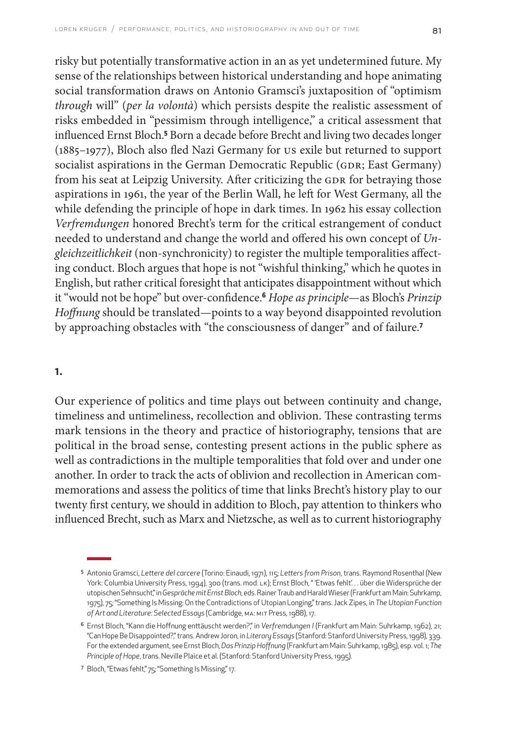risky but potentially transformative action in an as yet undetermined future. My sense of the relationships between historical understanding and hope animating social transformation draws on Antonio Gramsci's juxtaposition of "optimism *through* will" (*per la volontà*) which persists despite the realistic assessment of risks embedded in "pessimism through intelligence," a critical assessment that influenced Ernst Bloch.**<sup>5</sup>** Born a decade before Brecht and living two decades longer (1885–1977), Bloch also fled Nazi Germany for US exile but returned to support socialist aspirations in the German Democratic Republic (GDR; East Germany) from his seat at Leipzig University. After criticizing the GDR for betraying those aspirations in 1961, the year of the Berlin Wall, he left for West Germany, all the while defending the principle of hope in dark times. In 1962 his essay collection *Verfremdungen* honored Brecht's term for the critical estrangement of conduct needed to understand and change the world and offered his own concept of *Ungleichzeitlichkeit* (non-synchronicity) to register the multiple temporalities affecting conduct. Bloch argues that hope is not "wishful thinking," which he quotes in English, but rather critical foresight that anticipates disappointment without which it "would not be hope" but over-confidence.**<sup>6</sup>** *Hope as principle*—as Bloch's *Prinzip Hoffnung* should be translated—points to a way beyond disappointed revolution by approaching obstacles with "the consciousness of danger" and of failure.**<sup>7</sup>**

#### 1.

Our experience of politics and time plays out between continuity and change, timeliness and untimeliness, recollection and oblivion. These contrasting terms mark tensions in the theory and practice of historiography, tensions that are political in the broad sense, contesting present actions in the public sphere as well as contradictions in the multiple temporalities that fold over and under one another. In order to track the acts of oblivion and recollection in American commemorations and assess the politics of time that links Brecht's history play to our twenty first century, we should in addition to Bloch, pay attention to thinkers who influenced Brecht, such as Marx and Nietzsche, as well as to current historiography

<sup>5</sup> Antonio Gramsci, *Lettere del carcere* (Torino: Einaudi, 1971), 115; *Letters from Prison*, trans. Raymond Rosenthal (New York: Columbia University Press, 1994), 300 (trans. mod. LK); Ernst Bloch, " 'Etwas fehlt'. . . über die Widersprüche der utopischen Sehnsucht," in *Gespräche mit Ernst Bloch*, eds. Rainer Traub and Harald Wieser (Frankfurt am Main: Suhrkamp, 1975), 75; "Something Is Missing: On the Contradictions of Utopian Longing," trans. Jack Zipes, in *The Utopian Function of Art and Literature: Selected Essays* (Cambridge, MA: MIT Press, 1988), 17.

<sup>6</sup> Ernst Bloch, "Kann die Hoffnung enttäuscht werden?," in *Verfremdungen I* (Frankfurt am Main: Suhrkamp, 1962), 21; "Can Hope Be Disappointed?," trans. Andrew Joron, in *Literary Essays* (Stanford: Stanford University Press, 1998), 339. For the extended argument, see Ernst Bloch, *Das Prinzip Hoffnung* (Frankfurt am Main: Suhrkamp, 1985), esp. vol. 1; *The Principle of Hope*, trans. Neville Plaice et al. (Stanford: Stanford University Press, 1995).

<sup>7</sup> Bloch, "Etwas fehlt," 75; "Something Is Missing," 17.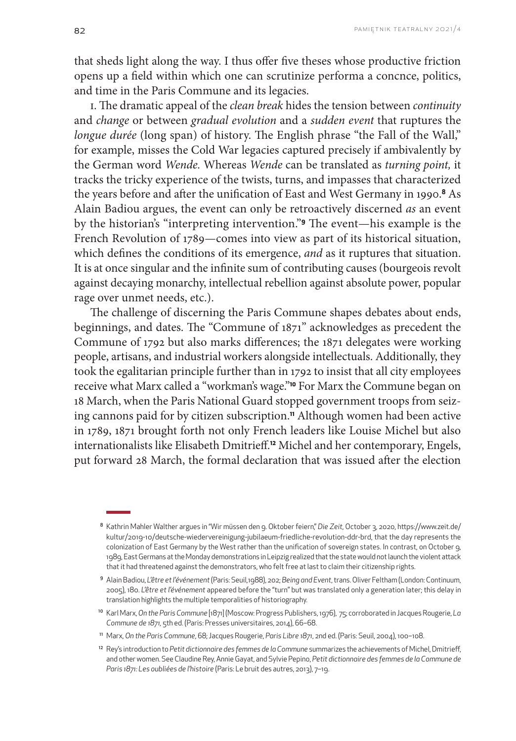that sheds light along the way. I thus offer five theses whose productive friction opens up a field within which one can scrutinize performa a concnce, politics, and time in the Paris Commune and its legacies.

i. The dramatic appeal of the *clean break* hides the tension between *continuity* and *change* or between *gradual evolution* and a *sudden event* that ruptures the *longue durée* (long span) of history. The English phrase "the Fall of the Wall," for example, misses the Cold War legacies captured precisely if ambivalently by the German word *Wende.* Whereas *Wende* can be translated as *turning point,* it tracks the tricky experience of the twists, turns, and impasses that characterized the years before and after the unification of East and West Germany in 1990.**8** As Alain Badiou argues, the event can only be retroactively discerned *as* an event by the historian's "interpreting intervention."**9** The event—his example is the French Revolution of 1789—comes into view as part of its historical situation, which defines the conditions of its emergence, *and* as it ruptures that situation. It is at once singular and the infinite sum of contributing causes (bourgeois revolt against decaying monarchy, intellectual rebellion against absolute power, popular rage over unmet needs, etc.).

The challenge of discerning the Paris Commune shapes debates about ends, beginnings, and dates. The "Commune of 1871" acknowledges as precedent the Commune of 1792 but also marks differences; the 1871 delegates were working people, artisans, and industrial workers alongside intellectuals. Additionally, they took the egalitarian principle further than in 1792 to insist that all city employees receive what Marx called a "workman's wage."**10** For Marx the Commune began on 18 March, when the Paris National Guard stopped government troops from seizing cannons paid for by citizen subscription.**11** Although women had been active in 1789, 1871 brought forth not only French leaders like Louise Michel but also internationalists like Elisabeth Dmitrieff.**12** Michel and her contemporary, Engels, put forward 28 March, the formal declaration that was issued after the election

<sup>8</sup> Kathrin Mahler Walther argues in "Wir müssen den 9. Oktober feiern," *Die Zeit*, October 3, 2020, [https://www.zeit.de/](https://www.zeit.de/kultur/2019-10/deutsche-wiedervereinigung-jubilaeum-friedliche-revolution-ddr-brd) [kultur/2019-10/deutsche-wiedervereinigung-jubilaeum-friedliche-revolution-ddr-brd,](https://www.zeit.de/kultur/2019-10/deutsche-wiedervereinigung-jubilaeum-friedliche-revolution-ddr-brd) that the day represents the colonization of East Germany by the West rather than the unification of sovereign states. In contrast, on October 9, 1989, East Germans at the Monday demonstrations in Leipzig realized that the state would not launch the violent attack that it had threatened against the demonstrators, who felt free at last to claim their citizenship rights.

<sup>9</sup> Alain Badiou, *L'être et l'événement* (Paris: Seuil,1988), 202; *Being and Event*, trans. Oliver Feltham (London: Continuum, 2005), 180. *L'être et l'événement* appeared before the "turn" but was translated only a generation later; this delay in translation highlights the multiple temporalities of historiography.

<sup>10</sup> Karl Marx, *On the Paris Commune* [1871] (Moscow: Progress Publishers, 1976), 75; corroborated in Jacques Rougerie, *La Commune de 1871,* 5th ed. (Paris: Presses universitaires, 2014), 66–68.

<sup>11</sup> Marx, *On the Paris Commune*, 68; Jacques Rougerie, *Paris Libre 1871*, 2nd ed. (Paris: Seuil, 2004), 100–108.

<sup>12</sup> Rey's introduction to *Petit dictionnaire des femmes de la Commune* summarizes the achievements of Michel, Dmitrieff, and other women. See Claudine Rey, Annie Gayat, and Sylvie Pepino, *Petit dictionnaire des femmes de la Commune de Paris 1871: Les oubliées de l'histoire* (Paris: Le bruit des autres, 2013), 7–19.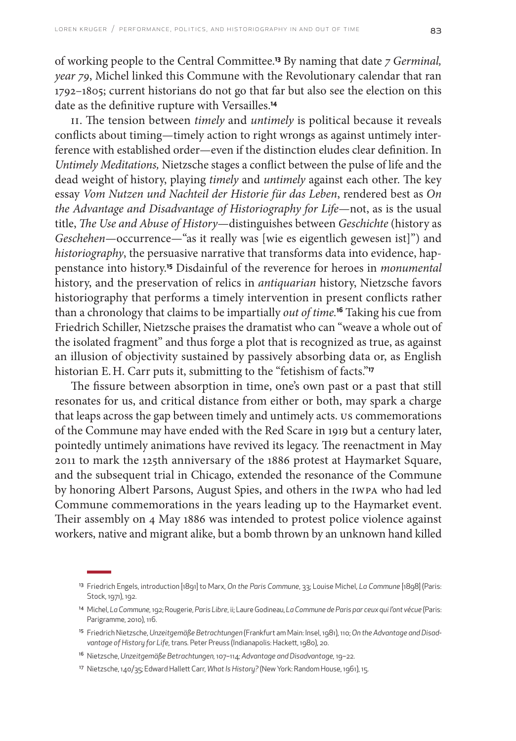of working people to the Central Committee.**13** By naming that date *7 Germinal, year 79*, Michel linked this Commune with the Revolutionary calendar that ran 1792–1805; current historians do not go that far but also see the election on this date as the definitive rupture with Versailles.**<sup>14</sup>**

II. The tension between *timely* and *untimely* is political because it reveals conflicts about timing—timely action to right wrongs as against untimely interference with established order—even if the distinction eludes clear definition. In *Untimely Meditations,* Nietzsche stages a conflict between the pulse of life and the dead weight of history, playing *timely* and *untimely* against each other. The key essay *Vom Nutzen und Nachteil der Historie für das Leben*, rendered best as *On the Advantage and Disadvantage of Historiography for Life*—not, as is the usual title, *The Use and Abuse of History*—distinguishes between *Geschichte* (history as *Geschehen—*occurrence—"as it really was [wie es eigentlich gewesen ist]") and *historiography*, the persuasive narrative that transforms data into evidence, happenstance into history.**15** Disdainful of the reverence for heroes in *monumental* history, and the preservation of relics in *antiquarian* history, Nietzsche favors historiography that performs a timely intervention in present conflicts rather than a chronology that claims to be impartially *out of time.***<sup>16</sup>** Taking his cue from Friedrich Schiller, Nietzsche praises the dramatist who can "weave a whole out of the isolated fragment" and thus forge a plot that is recognized as true, as against an illusion of objectivity sustained by passively absorbing data or, as English historian E. H. Carr puts it, submitting to the "fetishism of facts."**<sup>17</sup>**

The fissure between absorption in time, one's own past or a past that still resonates for us, and critical distance from either or both, may spark a charge that leaps across the gap between timely and untimely acts. US commemorations of the Commune may have ended with the Red Scare in 1919 but a century later, pointedly untimely animations have revived its legacy. The reenactment in May 2011 to mark the 125th anniversary of the 1886 protest at Haymarket Square, and the subsequent trial in Chicago, extended the resonance of the Commune by honoring Albert Parsons, August Spies, and others in the IWPA who had led Commune commemorations in the years leading up to the Haymarket event. Their assembly on 4 May 1886 was intended to protest police violence against workers, native and migrant alike, but a bomb thrown by an unknown hand killed

<sup>16</sup> Nietzsche, *Unzeitgemäße Betrachtungen,* 107–114*; Advantage and Disadvantage,* 19–22.

<sup>13</sup> Friedrich Engels, introduction [1891] to Marx, *On the Paris Commune*, 33; Louise Michel, *La Commune* [1898] (Paris: Stock, 1971), 192.

<sup>14</sup> Michel, *La Commune,* 192; Rougerie, *Paris Libre*, ii; Laure Godineau, *La Commune de Paris par ceux qui l'ont vécue* (Paris: Parigramme, 2010), 116.

<sup>15</sup> Friedrich Nietzsche, *Unzeitgemäße Betrachtungen* (Frankfurt am Main: Insel, 1981), 110; *On the Advantage and Disadvantage of History for Life,* trans*.* Peter Preuss (Indianapolis: Hackett, 1980), 20.

<sup>17</sup> Nietzsche, 140/35; Edward Hallett Carr, *What Is History?* (New York: Random House, 1961), 15.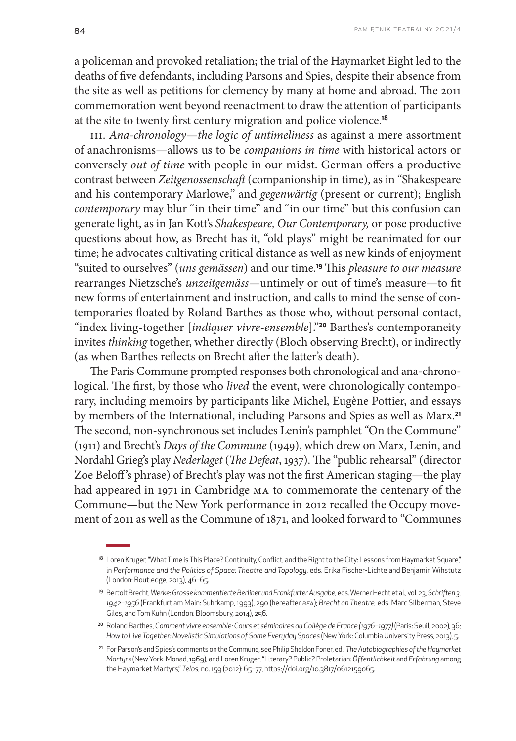a policeman and provoked retaliation; the trial of the Haymarket Eight led to the deaths of five defendants, including Parsons and Spies, despite their absence from the site as well as petitions for clemency by many at home and abroad. The 2011 commemoration went beyond reenactment to draw the attention of participants at the site to twenty first century migration and police violence.**<sup>18</sup>**

III. *Ana-chronology—the logic of untimeliness* as against a mere assortment of anachronisms—allows us to be *companions in time* with historical actors or conversely *out of time* with people in our midst. German offers a productive contrast between *Zeitgenossenschaft* (companionship in time), as in "Shakespeare and his contemporary Marlowe," and *gegenwärtig* (present or current); English *contemporary* may blur "in their time" and "in our time" but this confusion can generate light, as in Jan Kott's *Shakespeare, Our Contemporary,* or pose productive questions about how, as Brecht has it, "old plays" might be reanimated for our time; he advocates cultivating critical distance as well as new kinds of enjoyment "suited to ourselves" (*uns gemässen*) and our time.**19** This *pleasure to our measure*  rearranges Nietzsche's *unzeitgemäss—*untimely or out of time's measure—to fit new forms of entertainment and instruction, and calls to mind the sense of contemporaries floated by Roland Barthes as those who, without personal contact, "index living-together [*indiquer vivre-ensemble*]."**20** Barthes's contemporaneity invites *thinking* together, whether directly (Bloch observing Brecht), or indirectly (as when Barthes reflects on Brecht after the latter's death).

The Paris Commune prompted responses both chronological and ana-chronological. The first, by those who *lived* the event, were chronologically contemporary, including memoirs by participants like Michel, Eugène Pottier, and essays by members of the International, including Parsons and Spies as well as Marx.**<sup>21</sup>** The second, non-synchronous set includes Lenin's pamphlet "On the Commune" (1911) and Brecht's *Days of the Commune* (1949), which drew on Marx, Lenin, and Nordahl Grieg's play *Nederlaget* (*The Defeat*, 1937). The "public rehearsal" (director Zoe Beloff 's phrase) of Brecht's play was not the first American staging—the play had appeared in 1971 in Cambridge MA to commemorate the centenary of the Commune—but the New York performance in 2012 recalled the Occupy movement of 2011 as well as the Commune of 1871, and looked forward to "Communes

<sup>20</sup> Roland Barthes, *Comment vivre ensemble:Cours et séminaires au Collège de France (1976–1977)* (Paris: Seuil, 2002), 36; *How to Live Together:Novelistic Simulations of Some Everyday Spaces* (New York: Columbia University Press, 2013), 5.

<sup>&</sup>lt;sup>18</sup> Loren Kruger, "What Time is This Place? Continuity, Conflict, and the Right to the City: Lessons from Haymarket Square," in *Performance and the Politics of Space: Theatre and Topology*, eds. Erika Fischer-Lichte and Benjamin Wihstutz (London: Routledge, 2013), 46–65.

<sup>19</sup> Bertolt Brecht, *Werke*: *Grosse kommentierte Berliner und Frankfurter Ausgabe*, eds. Werner Hecht et al., vol. 23, *Schriften 3, 1942–1956* (Frankfurt am Main: Suhrkamp, 1993), 290 (hereafter *BFA*); *Brecht on Theatre,* eds. Marc Silberman, Steve Giles, and Tom Kuhn (London: Bloomsbury, 2014), 256.

<sup>21</sup> For Parson's and Spies's comments on the Commune, see Philip Sheldon Foner, ed., *The Autobiographies of the Haymarket Martyrs* (New York: Monad, 1969); and Loren Kruger, "Literary? Public? Proletarian: *Öffentlichkeit* and *Erfahrung* among the Haymarket Martyrs," *Telos*, no. 159 (2012): 65–77, [https://doi.org/10.3817/0612159065.](https://doi.org/10.3817/0612159065)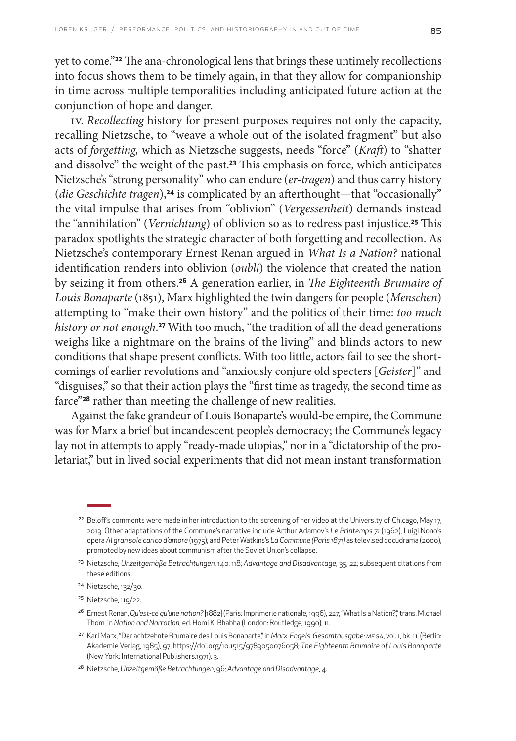yet to come."**22** The ana-chronological lens that brings these untimely recollections into focus shows them to be timely again, in that they allow for companionship in time across multiple temporalities including anticipated future action at the conjunction of hope and danger.

IV. *Recollecting* history for present purposes requires not only the capacity, recalling Nietzsche, to "weave a whole out of the isolated fragment" but also acts of *forgetting,* which as Nietzsche suggests, needs "force" (*Kraft*) to "shatter and dissolve" the weight of the past.**23** This emphasis on force, which anticipates Nietzsche's "strong personality" who can endure (*er-tragen*) and thus carry history (*die Geschichte tragen*),**24** is complicated by an afterthought—that "occasionally" the vital impulse that arises from "oblivion" (*Vergessenheit*) demands instead the "annihilation" (*Vernichtung*) of oblivion so as to redress past injustice.**25** This paradox spotlights the strategic character of both forgetting and recollection. As Nietzsche's contemporary Ernest Renan argued in *What Is a Nation?* national identification renders into oblivion (*oubli*) the violence that created the nation by seizing it from others.**26** A generation earlier, in *The Eighteenth Brumaire of Louis Bonaparte* (1851), Marx highlighted the twin dangers for people (*Menschen*) attempting to "make their own history" and the politics of their time: *too much history or not enough*. **<sup>27</sup>** With too much, "the tradition of all the dead generations weighs like a nightmare on the brains of the living" and blinds actors to new conditions that shape present conflicts. With too little, actors fail to see the shortcomings of earlier revolutions and "anxiously conjure old specters [*Geister*]" and "disguises," so that their action plays the "first time as tragedy, the second time as farce"**28** rather than meeting the challenge of new realities.

Against the fake grandeur of Louis Bonaparte's would-be empire, the Commune was for Marx a brief but incandescent people's democracy; the Commune's legacy lay not in attempts to apply "ready-made utopias," nor in a "dictatorship of the proletariat," but in lived social experiments that did not mean instant transformation

<sup>&</sup>lt;sup>22</sup> Beloff's comments were made in her introduction to the screening of her video at the University of Chicago, May 17, 2013. Other adaptations of the Commune's narrative include Arthur Adamov's *Le Printemps 71* (1962), Luigi Nono's opera *Al gran sole carico d'amore* (1975); and Peter Watkins's *La Commune (Paris 1871)* as televised docudrama (2000), prompted by new ideas about communism after the Soviet Union's collapse.

<sup>23</sup> Nietzsche, *Unzeitgemäße Betrachtungen*, 140, 118; *Advantage and Disadvantage*, 35, 22; subsequent citations from these editions.

<sup>24</sup> Nietzsche, 132/30.

<sup>25</sup> Nietzsche, 119/22.

<sup>26</sup> Ernest Renan, *Qu'est-ce qu'une nation?* [1882] (Paris: Imprimerie nationale, 1996), 227; "What Is a Nation?," trans. Michael Thom, in *Nation and Narration*, ed. Homi K. Bhabha (London: Routledge, 1990), 11.

<sup>27</sup> Karl Marx, "Der achtzehnte Brumaire des Louis Bonaparte," in *Marx-Engels-Gesamtausgabe: MEGA*, vol. 1, bk. 11, (Berlin: Akademie Verlag, 1985), 97,<https://doi.org/10.1515/9783050076058>; *The Eighteenth Brumaire of Louis Bonaparte* (New York: International Publishers,1971), 3.

<sup>28</sup> Nietzsche, *Unzeitgemäße Betrachtungen*, 96; *Advantage and Disadvantage*, 4.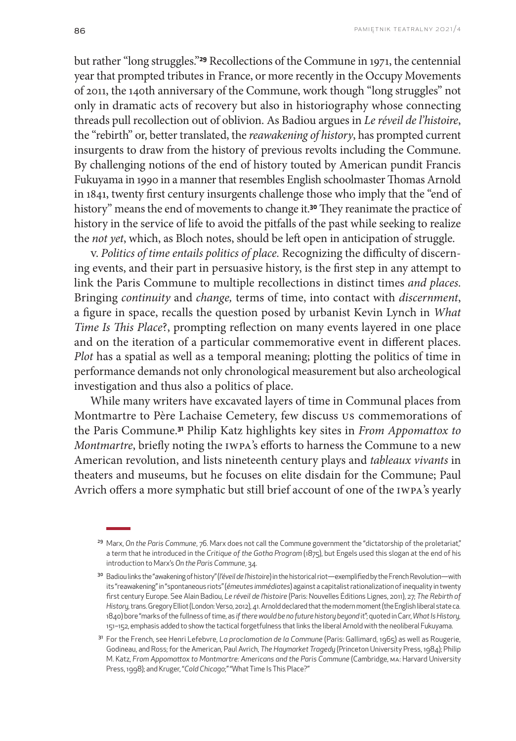but rather "long struggles."**29** Recollections of the Commune in 1971, the centennial year that prompted tributes in France, or more recently in the Occupy Movements of 2011, the 140th anniversary of the Commune, work though "long struggles" not only in dramatic acts of recovery but also in historiography whose connecting threads pull recollection out of oblivion. As Badiou argues in *Le réveil de l'histoire*, the "rebirth" or, better translated, the *reawakening of history*, has prompted current insurgents to draw from the history of previous revolts including the Commune. By challenging notions of the end of history touted by American pundit Francis Fukuyama in 1990 in a manner that resembles English schoolmaster Thomas Arnold in 1841, twenty first century insurgents challenge those who imply that the "end of history" means the end of movements to change it.**30** They reanimate the practice of history in the service of life to avoid the pitfalls of the past while seeking to realize the *not yet*, which, as Bloch notes, should be left open in anticipation of struggle.

V. *Politics of time entails politics of place.* Recognizing the difficulty of discerning events, and their part in persuasive history, is the first step in any attempt to link the Paris Commune to multiple recollections in distinct times *and places*. Bringing *continuity* and *change,* terms of time, into contact with *discernment*, a figure in space, recalls the question posed by urbanist Kevin Lynch in *What Time Is This Place*?, prompting reflection on many events layered in one place and on the iteration of a particular commemorative event in different places. *Plot* has a spatial as well as a temporal meaning; plotting the politics of time in performance demands not only chronological measurement but also archeological investigation and thus also a politics of place.

While many writers have excavated layers of time in Communal places from Montmartre to Père Lachaise Cemetery, few discuss US commemorations of the Paris Commune.**31** Philip Katz highlights key sites in *From Appomattox to Montmartre*, briefly noting the IWPA's efforts to harness the Commune to a new American revolution, and lists nineteenth century plays and *tableaux vivants* in theaters and museums, but he focuses on elite disdain for the Commune; Paul Avrich offers a more symphatic but still brief account of one of the IWPA's yearly

<sup>&</sup>lt;sup>29</sup> Marx, On the Paris Commune, 76. Marx does not call the Commune government the "dictatorship of the proletariat," a term that he introduced in the *Critique of the Gotha Program* (1875), but Engels used this slogan at the end of his introduction to Marx's *On the Paris Commune*, 34.

<sup>30</sup> Badiou links the "awakening of history" (*l'éveil de l'histoire*) in the historical riot—exemplified by the French Revolution—with its "reawakening" in "spontaneous riots" (*émeutes immédiates*) against a capitalist rationalization of inequality in twenty first century Europe. See Alain Badiou, *Le réveil de l'histoire* (Paris: Nouvelles Éditions Lignes, 2011), 27; *The Rebirth of History*, trans. Gregory Elliot (London: Verso, 2012), 41. Arnold declared that the modern moment (the English liberal state ca. 1840) bore "marks of the fullness of time, as *if there would be no future history beyond* it"; quoted in Carr, *What Is History*, 151–152, emphasis added to show the tactical forgetfulness that links the liberal Arnold with the neoliberal Fukuyama.

<sup>31</sup> For the French, see Henri Lefebvre, *La proclamation de la Commune* (Paris: Gallimard, 1965) as well as Rougerie, Godineau, and Ross; for the American, Paul Avrich, *The Haymarket Tragedy* (Princeton University Press, 1984); Philip M. Katz, *From Appomattox to Montmartre: Americans and the Paris Commune* (Cambridge, MA: Harvard University Press, 1998); and Kruger, "*Cold Chicago*;" "What Time Is This Place?"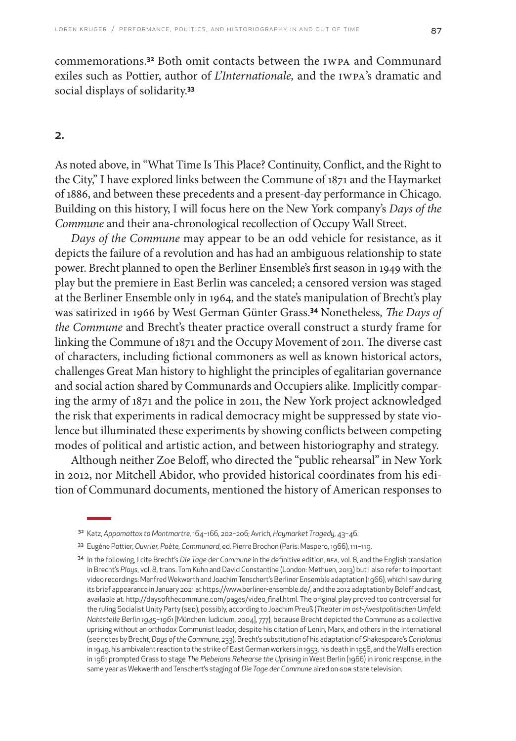commemorations.**32** Both omit contacts between the IWPA and Communard exiles such as Pottier, author of *L'Internationale,* and the IWPA's dramatic and social displays of solidarity.**<sup>33</sup>**

#### 2.

As noted above, in "What Time Is This Place? Continuity, Conflict, and the Right to the City," I have explored links between the Commune of 1871 and the Haymarket of 1886, and between these precedents and a present-day performance in Chicago. Building on this history, I will focus here on the New York company's *Days of the Commune* and their ana-chronological recollection of Occupy Wall Street.

*Days of the Commune* may appear to be an odd vehicle for resistance, as it depicts the failure of a revolution and has had an ambiguous relationship to state power. Brecht planned to open the Berliner Ensemble's first season in 1949 with the play but the premiere in East Berlin was canceled; a censored version was staged at the Berliner Ensemble only in 1964, and the state's manipulation of Brecht's play was satirized in 1966 by West German Günter Grass.**34** Nonetheless*, The Days of the Commune* and Brecht's theater practice overall construct a sturdy frame for linking the Commune of 1871 and the Occupy Movement of 2011. The diverse cast of characters, including fictional commoners as well as known historical actors, challenges Great Man history to highlight the principles of egalitarian governance and social action shared by Communards and Occupiers alike. Implicitly comparing the army of 1871 and the police in 2011, the New York project acknowledged the risk that experiments in radical democracy might be suppressed by state violence but illuminated these experiments by showing conflicts between competing modes of political and artistic action, and between historiography and strategy.

Although neither Zoe Beloff, who directed the "public rehearsal" in New York in 2012, nor Mitchell Abidor, who provided historical coordinates from his edition of Communard documents, mentioned the history of American responses to

<sup>32</sup> Katz, *Appomattox to Montmartre,* 164–166, 202–206; Avrich, *Haymarket Tragedy*, 43–46.

<sup>33</sup> Eugène Pottier, *Ouvrier, Poète, Communard*, ed. Pierre Brochon (Paris: Maspero, 1966), 111–119.

<sup>34</sup> In the following, I cite Brecht's *Die Tage der Commune* in the definitive edition, *BFA,* vol. 8, and the English translation in Brecht's *Plays*, vol. 8, trans. Tom Kuhn and David Constantine (London: Methuen, 2013) but I also refer to important video recordings: Manfred Wekwerth and Joachim Tenschert's Berliner Ensemble adaptation (1966), which I saw during its brief appearance in January 2021 at [https://www.berliner-ensemble.de/,](https://www.berliner-ensemble.de/) and the 2012 adaptation by Beloff and cast, available at: [http://daysofthecommune.com/pages/video\\_final.html](http://daysofthecommune.com/pages/video_final.html). The original play proved too controversial for the ruling Socialist Unity Party (SED), possibly, according to Joachim Preuß (*Theater im ost-/westpolitischen Umfeld: Nahtstelle Berlin 1945–1961* [München: Iudicium, 2004], 777), because Brecht depicted the Commune as a collective uprising without an orthodox Communist leader, despite his citation of Lenin, Marx, and others in the International (see notes by Brecht; *Days of the Commune*, 233). Brecht's substitution of his adaptation of Shakespeare's *Coriolanus* in 1949, his ambivalent reaction to the strike of East German workers in 1953, his death in 1956, and the Wall's erection in 1961 prompted Grass to stage *The Plebeians Rehearse the Uprising* in West Berlin (1966) in ironic response, in the same year as Wekwerth and Tenschert's staging of *Die Tage der Commune* aired on GDR state television.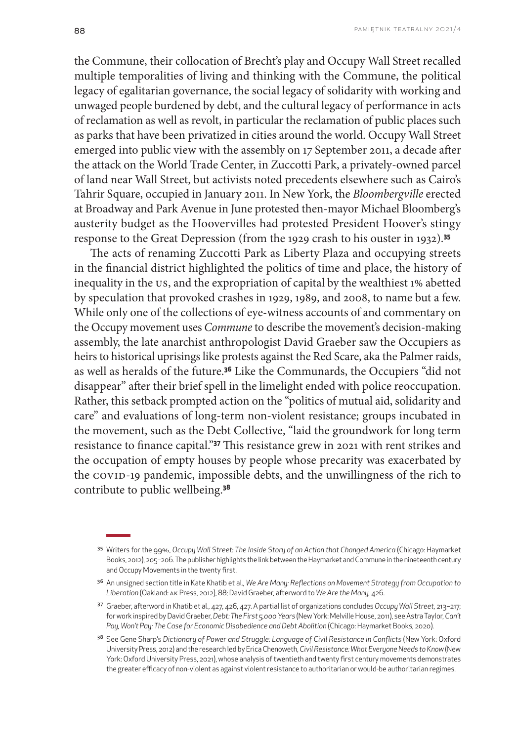the Commune, their collocation of Brecht's play and Occupy Wall Street recalled multiple temporalities of living and thinking with the Commune, the political legacy of egalitarian governance, the social legacy of solidarity with working and unwaged people burdened by debt, and the cultural legacy of performance in acts of reclamation as well as revolt, in particular the reclamation of public places such as parks that have been privatized in cities around the world. Occupy Wall Street emerged into public view with the assembly on 17 September 2011, a decade after the attack on the World Trade Center, in Zuccotti Park, a privately-owned parcel of land near Wall Street, but activists noted precedents elsewhere such as Cairo's Tahrir Square, occupied in January 2011. In New York, the *Bloombergville* erected at Broadway and Park Avenue in June protested then-mayor Michael Bloomberg's austerity budget as the Hoovervilles had protested President Hoover's stingy response to the Great Depression (from the 1929 crash to his ouster in 1932).**<sup>35</sup>**

The acts of renaming Zuccotti Park as Liberty Plaza and occupying streets in the financial district highlighted the politics of time and place, the history of inequality in the US, and the expropriation of capital by the wealthiest 1% abetted by speculation that provoked crashes in 1929, 1989, and 2008, to name but a few. While only one of the collections of eye-witness accounts of and commentary on the Occupy movement uses *Commune* to describe the movement's decision-making assembly, the late anarchist anthropologist David Graeber saw the Occupiers as heirs to historical uprisings like protests against the Red Scare, aka the Palmer raids, as well as heralds of the future.**36** Like the Communards, the Occupiers "did not disappear" after their brief spell in the limelight ended with police reoccupation. Rather, this setback prompted action on the "politics of mutual aid, solidarity and care" and evaluations of long-term non-violent resistance; groups incubated in the movement, such as the Debt Collective, "laid the groundwork for long term resistance to finance capital."**37** This resistance grew in 2021 with rent strikes and the occupation of empty houses by people whose precarity was exacerbated by the COVID-19 pandemic, impossible debts, and the unwillingness of the rich to contribute to public wellbeing.**<sup>38</sup>**

<sup>35</sup> Writers for the 99%, *Occupy Wall Street: The Inside Story of an Action that Changed America* (Chicago: Haymarket Books, 2012), 205–206. The publisher highlights the link between the Haymarket and Commune in the nineteenth century and Occupy Movements in the twenty first.

<sup>36</sup> An unsigned section title in Kate Khatib et al., *We Are Many: Reflections on Movement Strategy from Occupation to Liberation* (Oakland: AK Press, 2012), 88; David Graeber, afterword to *We Are the Many,* 426.

<sup>37</sup> Graeber, afterword in Khatib et al., 427, 426, 427. A partial list of organizations concludes *Occupy Wall Street,* 213–217; for work inspired by David Graeber, *Debt: The First 5,000 Years* (New York: Melville House, 2011), see Astra Taylor, *Can't*  Pay, Won't Pay: The Case for Economic Disobedience and Debt Abolition (Chicago: Haymarket Books, 2020).

<sup>38</sup> See Gene Sharp's *Dictionary of Power and Struggle: Language of Civil Resistance in Conflicts* (New York: Oxford University Press, 2012) and the research led by Erica Chenoweth, *Civil Resistance: What Everyone Needs to Know* (New York: Oxford University Press, 2021), whose analysis of twentieth and twenty first century movements demonstrates the greater efficacy of non-violent as against violent resistance to authoritarian or would-be authoritarian regimes.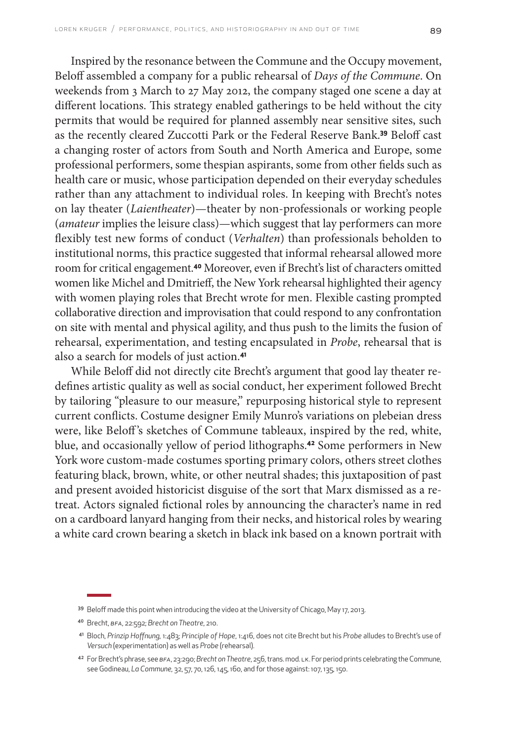Inspired by the resonance between the Commune and the Occupy movement, Beloff assembled a company for a public rehearsal of *Days of the Commune*. On weekends from 3 March to 27 May 2012, the company staged one scene a day at different locations. This strategy enabled gatherings to be held without the city permits that would be required for planned assembly near sensitive sites, such as the recently cleared Zuccotti Park or the Federal Reserve Bank.**39** Beloff cast a changing roster of actors from South and North America and Europe, some professional performers, some thespian aspirants, some from other fields such as health care or music, whose participation depended on their everyday schedules rather than any attachment to individual roles. In keeping with Brecht's notes on lay theater (*Laientheater*)—theater by non-professionals or working people (*amateur* implies the leisure class)—which suggest that lay performers can more flexibly test new forms of conduct (*Verhalten*) than professionals beholden to institutional norms, this practice suggested that informal rehearsal allowed more room for critical engagement.**40** Moreover, even if Brecht's list of characters omitted women like Michel and Dmitrieff, the New York rehearsal highlighted their agency with women playing roles that Brecht wrote for men. Flexible casting prompted collaborative direction and improvisation that could respond to any confrontation on site with mental and physical agility, and thus push to the limits the fusion of rehearsal, experimentation, and testing encapsulated in *Probe*, rehearsal that is also a search for models of just action.**<sup>41</sup>**

While Beloff did not directly cite Brecht's argument that good lay theater redefines artistic quality as well as social conduct, her experiment followed Brecht by tailoring "pleasure to our measure," repurposing historical style to represent current conflicts. Costume designer Emily Munro's variations on plebeian dress were, like Beloff's sketches of Commune tableaux, inspired by the red, white, blue, and occasionally yellow of period lithographs.**42** Some performers in New York wore custom-made costumes sporting primary colors, others street clothes featuring black, brown, white, or other neutral shades; this juxtaposition of past and present avoided historicist disguise of the sort that Marx dismissed as a retreat. Actors signaled fictional roles by announcing the character's name in red on a cardboard lanyard hanging from their necks, and historical roles by wearing a white card crown bearing a sketch in black ink based on a known portrait with

<sup>39</sup> Beloff made this point when introducing the video at the University of Chicago, May 17, 2013.

<sup>40</sup> Brecht, *BFA*, 22:592; *Brecht on Theatre*, 210.

<sup>41</sup> Bloch, *Prinzip Hoffnung,* 1:483; *Principle of Hope*, 1:416, does not cite Brecht but his *Probe* alludes to Brecht's use of *Versuch* (experimentation) as well as *Probe* (rehearsal).

<sup>42</sup> For Brecht's phrase, see *BFA*, 23:290; *Brecht on Theatre*, 256, trans. mod. LK. For period prints celebrating the Commune, see Godineau, *La Commune,* 32, 57, 70, 126, 145, 160, and for those against: 107, 135, 150.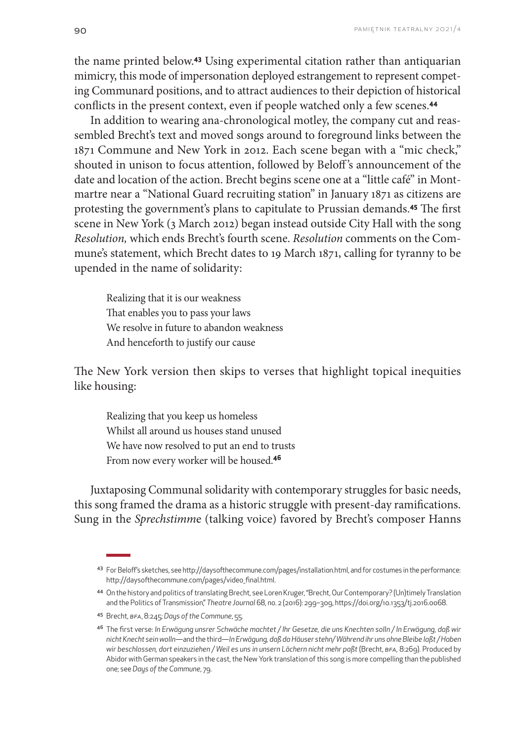the name printed below.**43** Using experimental citation rather than antiquarian mimicry, this mode of impersonation deployed estrangement to represent competing Communard positions, and to attract audiences to their depiction of historical conflicts in the present context, even if people watched only a few scenes.**<sup>44</sup>**

In addition to wearing ana-chronological motley, the company cut and reassembled Brecht's text and moved songs around to foreground links between the 1871 Commune and New York in 2012. Each scene began with a "mic check," shouted in unison to focus attention, followed by Beloff 's announcement of the date and location of the action. Brecht begins scene one at a "little café" in Montmartre near a "National Guard recruiting station" in January 1871 as citizens are protesting the government's plans to capitulate to Prussian demands.**45** The first scene in New York (3 March 2012) began instead outside City Hall with the song *Resolution,* which ends Brecht's fourth scene. *Resolution* comments on the Commune's statement, which Brecht dates to 19 March 1871, calling for tyranny to be upended in the name of solidarity:

Realizing that it is our weakness That enables you to pass your laws We resolve in future to abandon weakness And henceforth to justify our cause

The New York version then skips to verses that highlight topical inequities like housing:

Realizing that you keep us homeless Whilst all around us houses stand unused We have now resolved to put an end to trusts From now every worker will be housed.**<sup>46</sup>**

Juxtaposing Communal solidarity with contemporary struggles for basic needs, this song framed the drama as a historic struggle with present-day ramifications. Sung in the *Sprechstimm*e (talking voice) favored by Brecht's composer Hanns

<sup>43</sup> For Beloff's sketches, see <http://daysofthecommune.com/pages/installation.html>, and for costumes in the performance: [http://daysofthecommune.com/pages/video\\_final.html](http://daysofthecommune.com/pages/video_final.html).

<sup>44</sup> On the history and politics of translating Brecht, see Loren Kruger, "Brecht, Our Contemporary? (Un)timely Translation and the Politics of Transmission," *Theatre Journal* 68, no. 2 (2016): 299–309, https://doi.org/[10.1353/tj.2016.0068](https://doi.org/10.1353/tj.2016.0068).

<sup>45</sup> Brecht, *BFA*, 8:245; *Days of the Commune*, 55.

<sup>46</sup> The first verse: *In Erwägung unsrer Schwäche machtet / Ihr Gesetze, die uns Knechten solln / In Erwägung, daß wir nicht Knecht sein wolln*—and the third—*In Erwägung, daß da Häuser stehn/ Während ihr uns ohne Bleibe laßt / Haben wir beschlossen, dort einzuziehen / Weil es uns in unsern Löchern nicht mehr paßt* (Brecht, *BFA,* 8:269). Produced by Abidor with German speakers in the cast, the New York translation of this song is more compelling than the published one; see *Days of the Commune*, 79.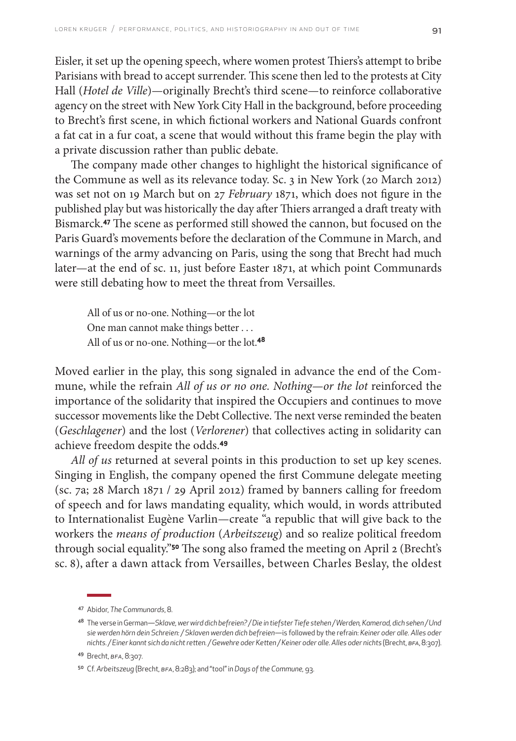Eisler, it set up the opening speech, where women protest Thiers's attempt to bribe Parisians with bread to accept surrender. This scene then led to the protests at City Hall (*Hotel de Ville*)—originally Brecht's third scene—to reinforce collaborative agency on the street with New York City Hall in the background, before proceeding to Brecht's first scene, in which fictional workers and National Guards confront a fat cat in a fur coat, a scene that would without this frame begin the play with a private discussion rather than public debate.

The company made other changes to highlight the historical significance of the Commune as well as its relevance today. Sc. 3 in New York (20 March 2012) was set not on 19 March but on 27 *February* 1871, which does not figure in the published play but was historically the day after Thiers arranged a draft treaty with Bismarck.**47** The scene as performed still showed the cannon, but focused on the Paris Guard's movements before the declaration of the Commune in March, and warnings of the army advancing on Paris, using the song that Brecht had much later—at the end of sc. 11, just before Easter 1871, at which point Communards were still debating how to meet the threat from Versailles.

All of us or no-one. Nothing—or the lot One man cannot make things better . . . All of us or no-one. Nothing—or the lot.**<sup>48</sup>**

Moved earlier in the play, this song signaled in advance the end of the Commune, while the refrain *All of us or no one. Nothing—or the lot* reinforced the importance of the solidarity that inspired the Occupiers and continues to move successor movements like the Debt Collective. The next verse reminded the beaten (*Geschlagener*) and the lost (*Verlorener*) that collectives acting in solidarity can achieve freedom despite the odds.**<sup>49</sup>**

*All of us* returned at several points in this production to set up key scenes. Singing in English, the company opened the first Commune delegate meeting (sc. 7a; 28 March 1871 / 29 April 2012) framed by banners calling for freedom of speech and for laws mandating equality, which would, in words attributed to Internationalist Eugène Varlin—create "a republic that will give back to the workers the *means of production* (*Arbeitszeug*) and so realize political freedom through social equality."**50** The song also framed the meeting on April 2 (Brecht's sc. 8), after a dawn attack from Versailles, between Charles Beslay, the oldest

<sup>47</sup> Abidor, *The Communards*, 8.

<sup>48</sup> The verse in German—*Sklave, wer wird dich befreien? / Die in tiefster Tiefe stehen / Werden, Kamerad, dich sehen / Und sie werden hörn dein Schreien: / Sklaven werden dich befreien*—is followed by the refrain: *Keiner oder alle. Alles oder nichts. / Einer kannt sich da nicht retten. / Gewehre oder Ketten / Keiner oder alle. Alles oder nichts* (Brecht, *BFA*, 8:307).

<sup>49</sup> Brecht, *BFA*, 8:307.

<sup>50</sup> Cf. *Arbeitszeug* (Brecht, *BFA*, 8:283); and "tool" in *Days of the Commune,* 93.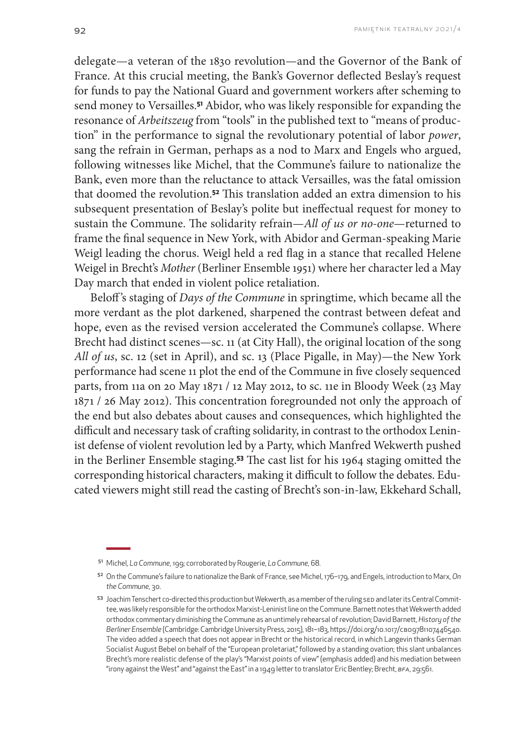delegate—a veteran of the 1830 revolution—and the Governor of the Bank of France. At this crucial meeting, the Bank's Governor deflected Beslay's request for funds to pay the National Guard and government workers after scheming to send money to Versailles.**51** Abidor, who was likely responsible for expanding the resonance of *Arbeitszeug* from "tools" in the published text to "means of production" in the performance to signal the revolutionary potential of labor *power*, sang the refrain in German, perhaps as a nod to Marx and Engels who argued, following witnesses like Michel, that the Commune's failure to nationalize the Bank, even more than the reluctance to attack Versailles, was the fatal omission that doomed the revolution.**52** This translation added an extra dimension to his subsequent presentation of Beslay's polite but ineffectual request for money to sustain the Commune. The solidarity refrain—*All of us or no-one*—returned to frame the final sequence in New York, with Abidor and German-speaking Marie Weigl leading the chorus. Weigl held a red flag in a stance that recalled Helene Weigel in Brecht's *Mother* (Berliner Ensemble 1951) where her character led a May Day march that ended in violent police retaliation.

Beloff 's staging of *Days of the Commune* in springtime, which became all the more verdant as the plot darkened, sharpened the contrast between defeat and hope, even as the revised version accelerated the Commune's collapse. Where Brecht had distinct scenes—sc. 11 (at City Hall), the original location of the song *All of us*, sc. 12 (set in April), and sc. 13 (Place Pigalle, in May)—the New York performance had scene 11 plot the end of the Commune in five closely sequenced parts, from 11a on 20 May 1871 / 12 May 2012, to sc. 11e in Bloody Week (23 May 1871 / 26 May 2012). This concentration foregrounded not only the approach of the end but also debates about causes and consequences, which highlighted the difficult and necessary task of crafting solidarity, in contrast to the orthodox Leninist defense of violent revolution led by a Party, which Manfred Wekwerth pushed in the Berliner Ensemble staging.**53** The cast list for his 1964 staging omitted the corresponding historical characters, making it difficult to follow the debates. Educated viewers might still read the casting of Brecht's son-in-law, Ekkehard Schall,

<sup>51</sup> Michel, *La Commune*, 199; corroborated by Rougerie, *La Commune,* 68.

<sup>52</sup> On the Commune's failure to nationalize the Bank of France, see Michel, 176–179, and Engels, introduction to Marx, *On the Commune,* 30.

<sup>53</sup> Joachim Tenschert co-directed this production but Wekwerth, as a member of the ruling SED and later its Central Committee, was likely responsible for the orthodox Marxist-Leninist line on the Commune. Barnett notes that Wekwerth added orthodox commentary diminishing the Commune as an untimely rehearsal of revolution; David Barnett, *History of the Berliner Ensemble* (Cambridge: Cambridge University Press, 2015), 181–183,<https://doi.org/10.1017/CBO9781107446540>. The video added a speech that does not appear in Brecht or the historical record, in which Langevin thanks German Socialist August Bebel on behalf of the "European proletariat," followed by a standing ovation; this slant unbalances Brecht's more realistic defense of the play's "Marxist *points* of view" (emphasis added) and his mediation between "irony against the West" and "against the East" in a 1949 letter to translator Eric Bentley; Brecht, *BFA*, 29:561.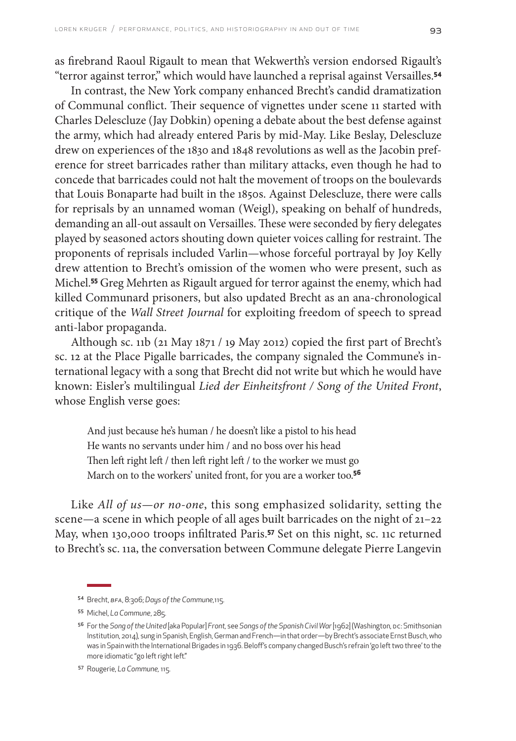as firebrand Raoul Rigault to mean that Wekwerth's version endorsed Rigault's "terror against terror," which would have launched a reprisal against Versailles.**<sup>54</sup>**

In contrast, the New York company enhanced Brecht's candid dramatization of Communal conflict. Their sequence of vignettes under scene 11 started with Charles Delescluze (Jay Dobkin) opening a debate about the best defense against the army, which had already entered Paris by mid-May. Like Beslay, Delescluze drew on experiences of the 1830 and 1848 revolutions as well as the Jacobin preference for street barricades rather than military attacks, even though he had to concede that barricades could not halt the movement of troops on the boulevards that Louis Bonaparte had built in the 1850s. Against Delescluze, there were calls for reprisals by an unnamed woman (Weigl), speaking on behalf of hundreds, demanding an all-out assault on Versailles. These were seconded by fiery delegates played by seasoned actors shouting down quieter voices calling for restraint. The proponents of reprisals included Varlin—whose forceful portrayal by Joy Kelly drew attention to Brecht's omission of the women who were present, such as Michel.**55** Greg Mehrten as Rigault argued for terror against the enemy, which had killed Communard prisoners, but also updated Brecht as an ana-chronological critique of the *Wall Street Journal* for exploiting freedom of speech to spread anti-labor propaganda.

Although sc. 11b (21 May 1871 / 19 May 2012) copied the first part of Brecht's sc. 12 at the Place Pigalle barricades, the company signaled the Commune's international legacy with a song that Brecht did not write but which he would have known: Eisler's multilingual *Lied der Einheitsfront / Song of the United Front*, whose English verse goes:

And just because he's human / he doesn't like a pistol to his head He wants no servants under him / and no boss over his head Then left right left / then left right left / to the worker we must go March on to the workers' united front, for you are a worker too.**<sup>56</sup>**

Like *All of us—or no-one*, this song emphasized solidarity, setting the scene*—*a scene in which people of all ages built barricades on the night of 21–22 May, when 130,000 troops infiltrated Paris.**57** Set on this night, sc. 11c returned to Brecht's sc. 11a, the conversation between Commune delegate Pierre Langevin

<sup>54</sup> Brecht, *BFA*, 8:306; *Days of the Commune,*115.

<sup>55</sup> Michel, *La Commune*, 285.

<sup>56</sup> For the *Song of the United* [aka Popular] *Front,* see *Songs of the Spanish CivilWar* [1962] (Washington, DC: Smithsonian Institution, 2014), sung in Spanish, English, German and French—in that order—by Brecht's associate Ernst Busch, who was in Spain with the International Brigades in 1936. Beloff's company changed Busch's refrain 'go left two three' to the more idiomatic "go left right left."

<sup>57</sup> Rougerie, *La Commune,* 115.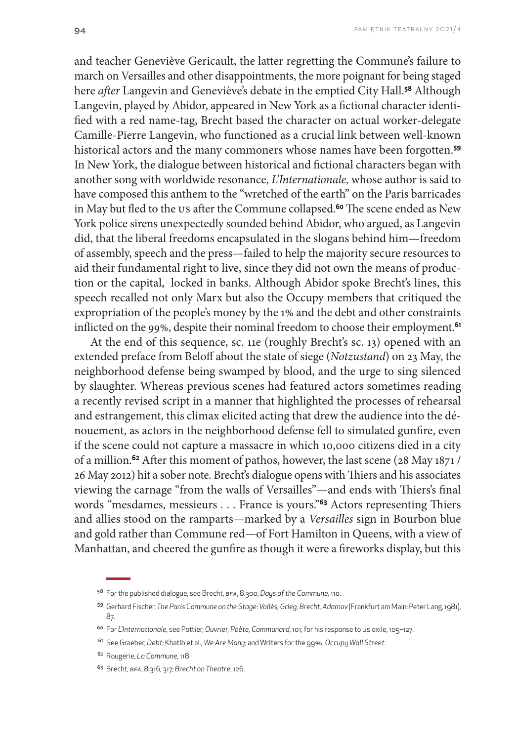and teacher Geneviève Gericault, the latter regretting the Commune's failure to march on Versailles and other disappointments, the more poignant for being staged here *after* Langevin and Geneviève's debate in the emptied City Hall.**58** Although Langevin, played by Abidor, appeared in New York as a fictional character identified with a red name-tag, Brecht based the character on actual worker-delegate Camille-Pierre Langevin, who functioned as a crucial link between well-known historical actors and the many commoners whose names have been forgotten.**<sup>59</sup>** In New York, the dialogue between historical and fictional characters began with another song with worldwide resonance, *L'Internationale,* whose author is said to have composed this anthem to the "wretched of the earth" on the Paris barricades in May but fled to the US after the Commune collapsed.**60** The scene ended as New York police sirens unexpectedly sounded behind Abidor, who argued, as Langevin did, that the liberal freedoms encapsulated in the slogans behind him—freedom of assembly, speech and the press—failed to help the majority secure resources to aid their fundamental right to live, since they did not own the means of production or the capital, locked in banks. Although Abidor spoke Brecht's lines, this speech recalled not only Marx but also the Occupy members that critiqued the expropriation of the people's money by the 1% and the debt and other constraints inflicted on the 99%, despite their nominal freedom to choose their employment.**<sup>61</sup>**

At the end of this sequence, sc. 11e (roughly Brecht's sc. 13) opened with an extended preface from Beloff about the state of siege (*Notzustand*) on 23 May, the neighborhood defense being swamped by blood, and the urge to sing silenced by slaughter. Whereas previous scenes had featured actors sometimes reading a recently revised script in a manner that highlighted the processes of rehearsal and estrangement, this climax elicited acting that drew the audience into the dénouement, as actors in the neighborhood defense fell to simulated gunfire, even if the scene could not capture a massacre in which 10,000 citizens died in a city of a million.**62** After this moment of pathos, however, the last scene (28 May 1871 / 26 May 2012) hit a sober note. Brecht's dialogue opens with Thiers and his associates viewing the carnage "from the walls of Versailles"—and ends with Thiers's final words "mesdames, messieurs . . . France is yours."**63** Actors representing Thiers and allies stood on the ramparts*—*marked by a *Versailles* sign in Bourbon blue and gold rather than Commune red*—*of Fort Hamilton in Queens, with a view of Manhattan, and cheered the gunfire as though it were a fireworks display, but this

<sup>58</sup> For the published dialogue, see Brecht, *BFA*, 8:300; *Days of the Commune,* 110.

<sup>59</sup> Gerhard Fischer, *The Paris Commune on the Stage: Vallès, Grieg, Brecht, Adamov* (Frankfurt am Main: Peter Lang, 1981), 87.

<sup>60</sup> For *L'Internationale*, see Pottier, *Ouvrier, Poète, Communard*, 101; for his response to US exile, 105–127.

<sup>61</sup> See Graeber, *Debt*; Khatib et al., *We Are Many;* and Writers for the 99%, *Occupy Wall Street*.

<sup>62</sup> Rougerie, *La Commune,* 118

<sup>63</sup> Brecht, *BFA*, 8:316, 317; *Brecht on Theatre*, 126.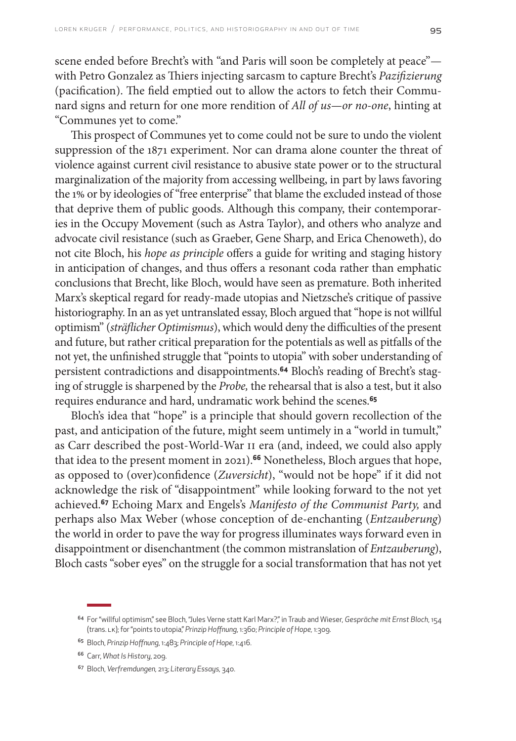scene ended before Brecht's with "and Paris will soon be completely at peace" with Petro Gonzalez as Thiers injecting sarcasm to capture Brecht's *Pazifizierung* (pacification). The field emptied out to allow the actors to fetch their Communard signs and return for one more rendition of *All of us—or no-one*, hinting at "Communes yet to come."

This prospect of Communes yet to come could not be sure to undo the violent suppression of the 1871 experiment. Nor can drama alone counter the threat of violence against current civil resistance to abusive state power or to the structural marginalization of the majority from accessing wellbeing, in part by laws favoring the 1% or by ideologies of "free enterprise" that blame the excluded instead of those that deprive them of public goods. Although this company, their contemporaries in the Occupy Movement (such as Astra Taylor), and others who analyze and advocate civil resistance (such as Graeber, Gene Sharp, and Erica Chenoweth), do not cite Bloch, his *hope as principle* offers a guide for writing and staging history in anticipation of changes, and thus offers a resonant coda rather than emphatic conclusions that Brecht, like Bloch, would have seen as premature. Both inherited Marx's skeptical regard for ready-made utopias and Nietzsche's critique of passive historiography. In an as yet untranslated essay, Bloch argued that "hope is not willful optimism" (*sträflicher Optimismus*), which would deny the difficulties of the present and future, but rather critical preparation for the potentials as well as pitfalls of the not yet, the unfinished struggle that "points to utopia" with sober understanding of persistent contradictions and disappointments.**64** Bloch's reading of Brecht's staging of struggle is sharpened by the *Probe,* the rehearsal that is also a test, but it also requires endurance and hard, undramatic work behind the scenes.**<sup>65</sup>**

Bloch's idea that "hope" is a principle that should govern recollection of the past, and anticipation of the future, might seem untimely in a "world in tumult," as Carr described the post-World-War II era (and, indeed, we could also apply that idea to the present moment in 2021).**66** Nonetheless, Bloch argues that hope, as opposed to (over)confidence (*Zuversicht*), "would not be hope" if it did not acknowledge the risk of "disappointment" while looking forward to the not yet achieved.**67** Echoing Marx and Engels's *Manifesto of the Communist Party,* and perhaps also Max Weber (whose conception of de-enchanting (*Entzauberung*) the world in order to pave the way for progress illuminates ways forward even in disappointment or disenchantment (the common mistranslation of *Entzauberung*), Bloch casts "sober eyes" on the struggle for a social transformation that has not yet

<sup>64</sup> For "willful optimism," see Bloch, "Jules Verne statt Karl Marx?," in Traub and Wieser, *Gespräche mit Ernst Bloch*, 154 (trans. LK); for "points to utopia," *Prinzip Hoffnung*, 1:360; *Principle of Hope,* 1:309.

<sup>65</sup> Bloch, *Prinzip Hoffnung*, 1:483; *Principle of Hope,* 1:416.

<sup>66</sup> Carr, *What Is History*, 209.

<sup>67</sup> Bloch, *Verfremdungen,* 213; *Literary Essays,* 340.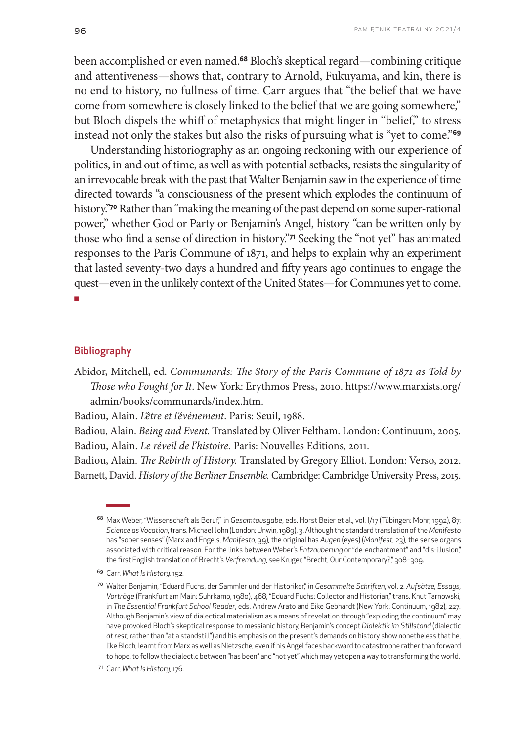been accomplished or even named.**68** Bloch's skeptical regard—combining critique and attentiveness—shows that, contrary to Arnold, Fukuyama, and kin, there is no end to history, no fullness of time. Carr argues that "the belief that we have come from somewhere is closely linked to the belief that we are going somewhere," but Bloch dispels the whiff of metaphysics that might linger in "belief," to stress instead not only the stakes but also the risks of pursuing what is "yet to come."**<sup>69</sup>**

Understanding historiography as an ongoing reckoning with our experience of politics, in and out of time, as well as with potential setbacks, resists the singularity of an irrevocable break with the past that Walter Benjamin saw in the experience of time directed towards "a consciousness of the present which explodes the continuum of history."**70** Rather than "making the meaning of the past depend on some super-rational power," whether God or Party or Benjamin's Angel, history "can be written only by those who find a sense of direction in history."**71** Seeking the "not yet" has animated responses to the Paris Commune of 1871, and helps to explain why an experiment that lasted seventy-two days a hundred and fifty years ago continues to engage the quest—even in the unlikely context of the United States—for Communes yet to come. ■

#### **Bibliography**

Abidor, Mitchell, ed. *Communards: The Story of the Paris Commune of 1871 as Told by Those who Fought for It*. New York: Erythmos Press, 2010. [https://www.marxists.org/](https://www.marxists.org/admin/books/communards/index.htm) [admin/books/communards/index.htm.](https://www.marxists.org/admin/books/communards/index.htm)

Badiou, Alain. *L'être et l'événement*. Paris: Seuil, 1988.

Badiou, Alain. *Being and Event.* Translated by Oliver Feltham. London: Continuum, 2005. Badiou, Alain. *Le réveil de l'histoire.* Paris: Nouvelles Editions, 2011.

Badiou, Alain. *The Rebirth of History.* Translated by Gregory Elliot. London: Verso, 2012. Barnett, David. *History of the Berliner Ensemble.* Cambridge: Cambridge University Press, 2015.

<sup>&</sup>lt;sup>68</sup> Max Weber, "Wissenschaft als Beruf", in *Gesamtausgabe*, eds. Horst Beier et al., vol. I/17 (Tübingen: Mohr, 1992), 87; *Science as Vocation*, trans. Michael John (London: Unwin, 1989), 3. Although the standard translation of the *Manifesto*  has "sober senses" (Marx and Engels, *Manifesto*, 39), the original has *Augen* (eyes) (*Manifest*, 23), the sense organs associated with critical reason. For the links between Weber's *Entzauberung* or "de-enchantment" and "dis-illusion," the first English translation of Brecht's *Verfremdung*, see Kruger, "Brecht, Our Contemporary?," 308–309.

<sup>69</sup> Carr, *What Is History*, 152.

<sup>70</sup> Walter Benjamin, "Eduard Fuchs, der Sammler und der Historiker," in *Gesammelte Schriften*, vol. 2: *Aufsätze, Essays, Vorträge* (Frankfurt am Main: Suhrkamp, 1980), 468; "Eduard Fuchs: Collector and Historian," trans. Knut Tarnowski, in *The Essential Frankfurt School Reader*, eds. Andrew Arato and Eike Gebhardt (New York: Continuum, 1982), 227. Although Benjamin's view of dialectical materialism as a means of revelation through "exploding the continuum" may have provoked Bloch's skeptical response to messianic history, Benjamin's concept *Dialektik im Stillstand* (dialectic *at rest*, rather than "at a standstill") and his emphasis on the present's demands on history show nonetheless that he, like Bloch, learnt from Marx as well as Nietzsche, even if his Angel faces backward to catastrophe rather than forward to hope, to follow the dialectic between "has been" and "not yet" which may yet open a way to transforming the world.

<sup>71</sup> Carr, *What Is History*, 176.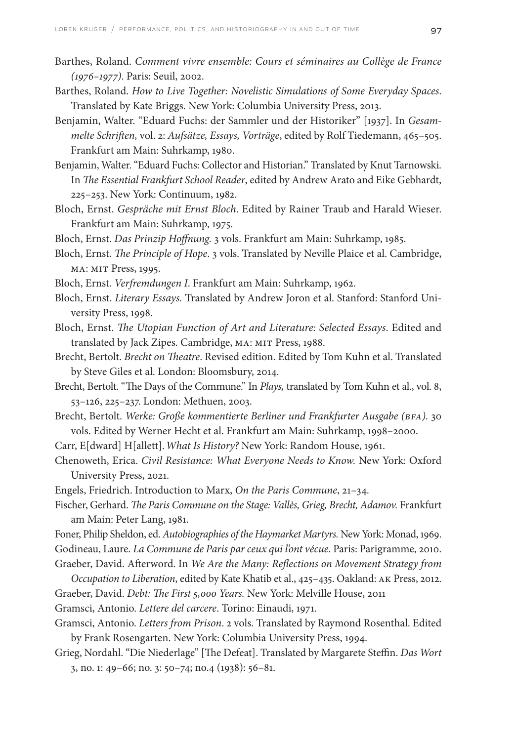- Barthes, Roland. *Comment vivre ensemble: Cours et séminaires au Collège de France (1976–1977)*. Paris: Seuil, 2002.
- Barthes, Roland. *How to Live Together: Novelistic Simulations of Some Everyday Spaces*. Translated by Kate Briggs. New York: Columbia University Press, 2013.
- Benjamin, Walter. "Eduard Fuchs: der Sammler und der Historiker" [1937]. In *Gesammelte Schriften,* vol. 2: *Aufsätze, Essays, Vorträge*, edited by Rolf Tiedemann, 465–505. Frankfurt am Main: Suhrkamp, 1980.
- Benjamin, Walter. "Eduard Fuchs: Collector and Historian." Translated by Knut Tarnowski. In *The Essential Frankfurt School Reader*, edited by Andrew Arato and Eike Gebhardt, 225–253. New York: Continuum, 1982.
- Bloch, Ernst. *Gespräche mit Ernst Bloch*. Edited by Rainer Traub and Harald Wieser. Frankfurt am Main: Suhrkamp, 1975.

Bloch, Ernst. *Das Prinzip Hoffnung.* 3 vols. Frankfurt am Main: Suhrkamp, 1985.

- Bloch, Ernst. *The Principle of Hope*. 3 vols. Translated by Neville Plaice et al. Cambridge, MA: MIT Press, 1995.
- Bloch, Ernst. *Verfremdungen I*. Frankfurt am Main: Suhrkamp, 1962.
- Bloch, Ernst. *Literary Essays.* Translated by Andrew Joron et al. Stanford: Stanford University Press, 1998.
- Bloch, Ernst. *The Utopian Function of Art and Literature: Selected Essays*. Edited and translated by Jack Zipes. Cambridge, MA: MIT Press, 1988.
- Brecht, Bertolt. *Brecht on Theatre*. Revised edition. Edited by Tom Kuhn et al. Translated by Steve Giles et al. London: Bloomsbury, 2014.
- Brecht, Bertolt. "The Days of the Commune." In *Plays,* translated by Tom Kuhn et al., vol. 8, 53–126, 225–237. London: Methuen, 2003.
- Brecht, Bertolt. *Werke: Große kommentierte Berliner und Frankfurter Ausgabe (BFA).* 30 vols. Edited by Werner Hecht et al. Frankfurt am Main: Suhrkamp, 1998–2000.

Carr, E[dward] H[allett]. *What Is History?* New York: Random House, 1961.

- Chenoweth, Erica. *Civil Resistance: What Everyone Needs to Know.* New York: Oxford University Press, 2021.
- Engels, Friedrich. Introduction to Marx, *On the Paris Commune*, 21–34.
- Fischer, Gerhard. *The Paris Commune on the Stage: Vallès, Grieg, Brecht, Adamov. Frankfurt* am Main: Peter Lang, 1981.

Foner, Philip Sheldon, ed. *Autobiographies of the Haymarket Martyrs.* New York: Monad, 1969. Godineau, Laure. *La Commune de Paris par ceux qui l'ont vécue*. Paris: Parigramme, 2010. Graeber, David. Afterword. In *We Are the Many: Reflections on Movement Strategy from* 

*Occupation to Liberation*, edited by Kate Khatib et al., 425–435. Oakland: AK Press, 2012. Graeber, David. *Debt: The First 5,000 Years.* New York: Melville House, 2011

- Gramsci, Antonio. *Lettere del carcere*. Torino: Einaudi, 1971.
- Gramsci, Antonio. *Letters from Prison*. 2 vols. Translated by Raymond Rosenthal. Edited by Frank Rosengarten. New York: Columbia University Press, 1994.
- Grieg, Nordahl. "Die Niederlage" [The Defeat]. Translated by Margarete Steffin. *Das Wort* 3, no. 1: 49–66; no. 3: 50–74; no.4 (1938): 56–81.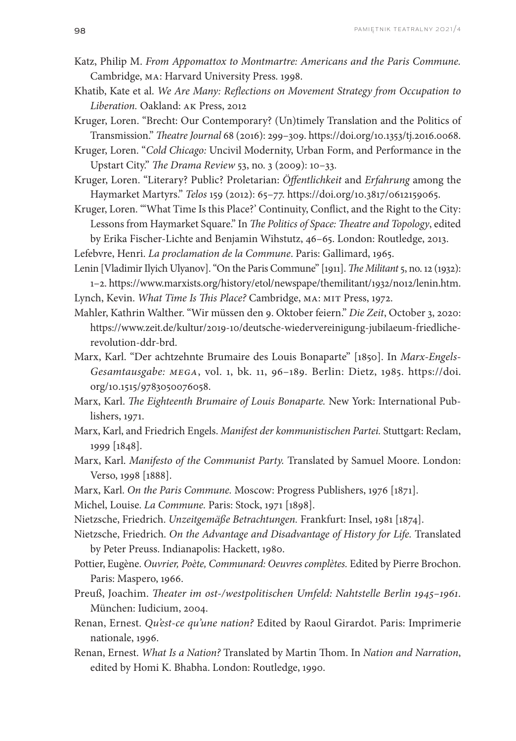- Katz, Philip M. *From Appomattox to Montmartre: Americans and the Paris Commune.*  Cambridge, MA: Harvard University Press. 1998.
- Khatib, Kate et al. *We Are Many: Reflections on Movement Strategy from Occupation to Liberation.* Oakland: AK Press, 2012
- Kruger, Loren. "Brecht: Our Contemporary? (Un)timely Translation and the Politics of Transmission." *Theatre Journal* 68 (2016): 299–309. https://doi.org/[10.1353/tj.2016.0068](https://doi-org.proxy.uchicago.edu/10.1353/tj.2016.0068).
- Kruger, Loren. "*Cold Chicago:* Uncivil Modernity, Urban Form, and Performance in the Upstart City." *The Drama Review* 53, no. 3 (2009): 10–33.
- Kruger, Loren. "Literary? Public? Proletarian: *Öffentlichkeit* and *Erfahrung* among the Haymarket Martyrs." *Telos* 159 (2012): 65–77. <https://doi.org/10.3817/0612159065>.
- Kruger, Loren. "'What Time Is this Place?' Continuity, Conflict, and the Right to the City: Lessons from Haymarket Square." In *The Politics of Space: Theatre and Topology*, edited by Erika Fischer-Lichte and Benjamin Wihstutz, 46–65. London: Routledge, 2013.
- Lefebvre, Henri. *La proclamation de la Commune*. Paris: Gallimard, 1965.

Lenin [Vladimir Ilyich Ulyanov]. "On the Paris Commune" [1911]. *The Militant* 5, no. 12 (1932): 1–2.<https://www.marxists.org/history/etol/newspape/themilitant/1932/no12/lenin.htm>. Lynch, Kevin. *What Time Is This Place?* Cambridge, MA: MIT Press, 1972.

- Mahler, Kathrin Walther. "Wir müssen den 9. Oktober feiern." *Die Zeit*, October 3, 2020: [https://www.zeit.de/kultur/2019-10/deutsche-wiedervereinigung-jubilaeum-friedliche](https://www.zeit.de/kultur/2019-10/deutsche-wiedervereinigung-jubilaeum-friedliche-revolution-ddr-brd)[revolution-ddr-brd.](https://www.zeit.de/kultur/2019-10/deutsche-wiedervereinigung-jubilaeum-friedliche-revolution-ddr-brd)
- Marx, Karl. "Der achtzehnte Brumaire des Louis Bonaparte" [1850]. In *Marx-Engels-Gesamtausgabe: MEGA*, vol. 1, bk. 11, 96–189. Berlin: Dietz, 1985. [https://doi.](https://doi.org/10.1515/9783050076058) [org/10.1515/9783050076058](https://doi.org/10.1515/9783050076058).
- Marx, Karl. *The Eighteenth Brumaire of Louis Bonaparte.* New York: International Publishers, 1971.
- Marx, Karl, and Friedrich Engels. *Manifest der kommunistischen Partei.* Stuttgart: Reclam, 1999 [1848].
- Marx, Karl. *Manifesto of the Communist Party.* Translated by Samuel Moore. London: Verso, 1998 [1888].
- Marx, Karl. *On the Paris Commune.* Moscow: Progress Publishers, 1976 [1871].
- Michel, Louise. *La Commune.* Paris: Stock, 1971 [1898].
- Nietzsche, Friedrich. *Unzeitgemäße Betrachtungen.* Frankfurt: Insel, 1981 [1874].
- Nietzsche, Friedrich. *On the Advantage and Disadvantage of History for Life.* Translated by Peter Preuss. Indianapolis: Hackett, 1980.
- Pottier, Eugène. *Ouvrier, Poète, Communard: Oeuvres complètes.* Edited by Pierre Brochon. Paris: Maspero, 1966.
- Preuß, Joachim. *Theater im ost-/westpolitischen Umfeld: Nahtstelle Berlin 1945–1961*. München: Iudicium, 2004.
- Renan, Ernest. *Qu'est-ce qu'une nation?* Edited by Raoul Girardot. Paris: Imprimerie nationale, 1996.
- Renan, Ernest. *What Is a Nation?* Translated by Martin Thom. In *Nation and Narration*, edited by Homi K. Bhabha. London: Routledge, 1990.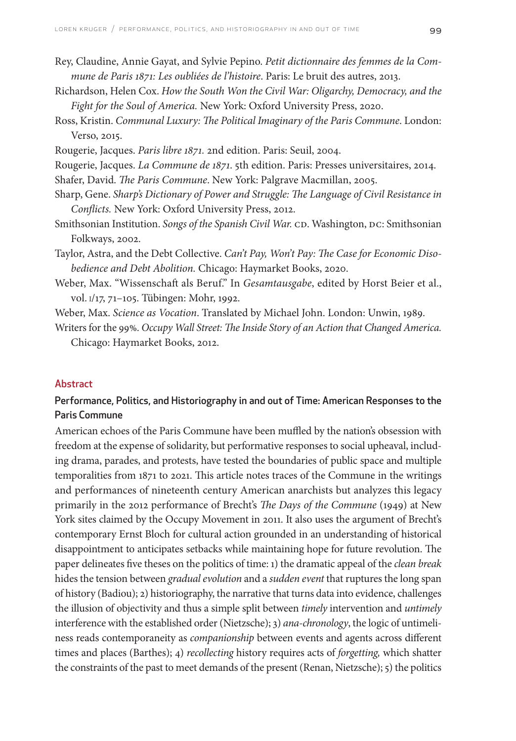- Rey, Claudine, Annie Gayat, and Sylvie Pepino. *Petit dictionnaire des femmes de la Commune de Paris 1871: Les oubliées de l'histoire*. Paris: Le bruit des autres, 2013.
- Richardson, Helen Cox. *How the South Won the Civil War: Oligarchy, Democracy, and the Fight for the Soul of America.* New York: Oxford University Press, 2020.
- Ross, Kristin. *Communal Luxury: The Political Imaginary of the Paris Commune*. London: Verso, 2015.
- Rougerie, Jacques. *Paris libre 1871.* 2nd edition. Paris: Seuil, 2004.
- Rougerie, Jacques. *La Commune de 1871*. 5th edition. Paris: Presses universitaires, 2014. Shafer, David. *The Paris Commune*. New York: Palgrave Macmillan, 2005.
- Sharp, Gene. *Sharp's Dictionary of Power and Struggle: The Language of Civil Resistance in Conflicts.* New York: Oxford University Press, 2012.
- Smithsonian Institution. *Songs of the Spanish Civil War.* CD. Washington, DC: Smithsonian Folkways, 2002.
- Taylor, Astra, and the Debt Collective. *Can't Pay, Won't Pay: The Case for Economic Disobedience and Debt Abolition.* Chicago: Haymarket Books, 2020.
- Weber, Max. "Wissenschaft als Beruf." In *Gesamtausgabe*, edited by Horst Beier et al., vol. I/17, 71–105. Tübingen: Mohr, 1992.

Weber, Max. *Science as Vocation*. Translated by Michael John. London: Unwin, 1989.

Writers for the 99%. *Occupy Wall Street: The Inside Story of an Action that Changed America.*  Chicago: Haymarket Books, 2012.

#### **Abstract**

#### Performance, Politics, and Historiography in and out of Time: American Responses to the Paris Commune

American echoes of the Paris Commune have been muffled by the nation's obsession with freedom at the expense of solidarity, but performative responses to social upheaval, including drama, parades, and protests, have tested the boundaries of public space and multiple temporalities from 1871 to 2021. This article notes traces of the Commune in the writings and performances of nineteenth century American anarchists but analyzes this legacy primarily in the 2012 performance of Brecht's *The Days of the Commune* (1949) at New York sites claimed by the Occupy Movement in 2011. It also uses the argument of Brecht's contemporary Ernst Bloch for cultural action grounded in an understanding of historical disappointment to anticipates setbacks while maintaining hope for future revolution. The paper delineates five theses on the politics of time: 1) the dramatic appeal of the *clean break* hides the tension between *gradual evolution* and a *sudden event* that ruptures the long span of history (Badiou); 2) historiography, the narrative that turns data into evidence, challenges the illusion of objectivity and thus a simple split between *timely* intervention and *untimely*  interference with the established order (Nietzsche); 3) *ana-chronology*, the logic of untimeliness reads contemporaneity as *companionship* between events and agents across different times and places (Barthes); 4) *recollecting* history requires acts of *forgetting,* which shatter the constraints of the past to meet demands of the present (Renan, Nietzsche); 5) the politics